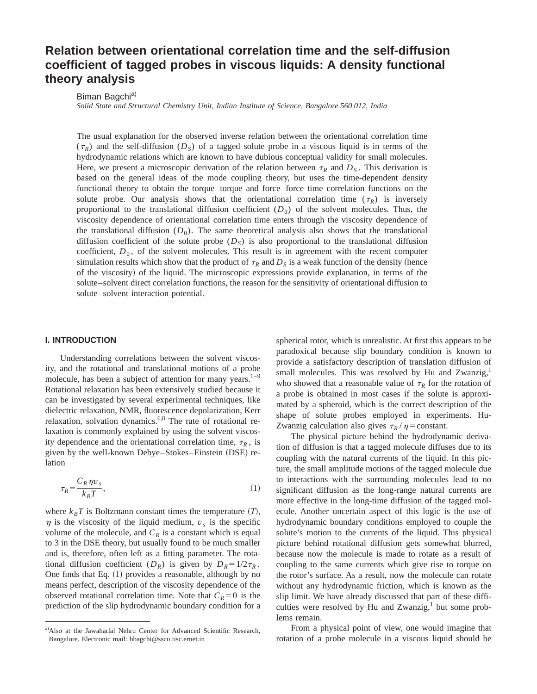# **Relation between orientational correlation time and the self-diffusion coefficient of tagged probes in viscous liquids: A density functional theory analysis**

Biman Bagchi<sup>a)</sup>

*Solid State and Structural Chemistry Unit, Indian Institute of Science, Bangalore 560 012, India*

The usual explanation for the observed inverse relation between the orientational correlation time  $(\tau_R)$  and the self-diffusion ( $D_S$ ) of a tagged solute probe in a viscous liquid is in terms of the hydrodynamic relations which are known to have dubious conceptual validity for small molecules. Here, we present a microscopic derivation of the relation between  $\tau_R$  and  $D_S$ . This derivation is based on the general ideas of the mode coupling theory, but uses the time-dependent density functional theory to obtain the torque–torque and force–force time correlation functions on the solute probe. Our analysis shows that the orientational correlation time  $(\tau_R)$  is inversely proportional to the translational diffusion coefficient  $(D_0)$  of the solvent molecules. Thus, the viscosity dependence of orientational correlation time enters through the viscosity dependence of the translational diffusion  $(D_0)$ . The same theoretical analysis also shows that the translational diffusion coefficient of the solute probe  $(D<sub>S</sub>)$  is also proportional to the translational diffusion coefficient,  $D_0$ , of the solvent molecules. This result is in agreement with the recent computer simulation results which show that the product of  $\tau_R$  and  $D_S$  is a weak function of the density (hence of the viscosity) of the liquid. The microscopic expressions provide explanation, in terms of the solute–solvent direct correlation functions, the reason for the sensitivity of orientational diffusion to solute–solvent interaction potential.

#### **I. INTRODUCTION**

Understanding correlations between the solvent viscosity, and the rotational and translational motions of a probe molecule, has been a subject of attention for many years. $1-9$ Rotational relaxation has been extensively studied because it can be investigated by several experimental techniques, like dielectric relaxation, NMR, fluorescence depolarization, Kerr relaxation, solvation dynamics.<sup>6,8</sup> The rate of rotational relaxation is commonly explained by using the solvent viscosity dependence and the orientational correlation time,  $\tau_R$ , is given by the well-known Debye–Stokes–Einstein (DSE) relation

$$
\tau_R = \frac{C_R \eta v_s}{k_B T},\tag{1}
$$

where  $k_B T$  is Boltzmann constant times the temperature  $(T)$ ,  $\eta$  is the viscosity of the liquid medium,  $v_s$  is the specific volume of the molecule, and  $C_R$  is a constant which is equal to 3 in the DSE theory, but usually found to be much smaller and is, therefore, often left as a fitting parameter. The rotational diffusion coefficient  $(D_R)$  is given by  $D_R = 1/2\tau_R$ . One finds that Eq.  $(1)$  provides a reasonable, although by no means perfect, description of the viscosity dependence of the observed rotational correlation time. Note that  $C_R=0$  is the prediction of the slip hydrodynamic boundary condition for a spherical rotor, which is unrealistic. At first this appears to be paradoxical because slip boundary condition is known to provide a satisfactory description of translation diffusion of small molecules. This was resolved by Hu and Zwanzig,<sup>1</sup> who showed that a reasonable value of  $\tau_R$  for the rotation of a probe is obtained in most cases if the solute is approximated by a spheroid, which is the correct description of the shape of solute probes employed in experiments. Hu-Zwanzig calculation also gives  $\tau_R / \eta$  = constant.

The physical picture behind the hydrodynamic derivation of diffusion is that a tagged molecule diffuses due to its coupling with the natural currents of the liquid. In this picture, the small amplitude motions of the tagged molecule due to interactions with the surrounding molecules lead to no significant diffusion as the long-range natural currents are more effective in the long-time diffusion of the tagged molecule. Another uncertain aspect of this logic is the use of hydrodynamic boundary conditions employed to couple the solute's motion to the currents of the liquid. This physical picture behind rotational diffusion gets somewhat blurred, because now the molecule is made to rotate as a result of coupling to the same currents which give rise to torque on the rotor's surface. As a result, now the molecule can rotate without any hydrodynamic friction, which is known as the slip limit. We have already discussed that part of these difficulties were resolved by Hu and Zwanzig, $<sup>1</sup>$  but some prob-</sup> lems remain.

From a physical point of view, one would imagine that rotation of a probe molecule in a viscous liquid should be

a) Also at the Jawaharlal Nehru Center for Advanced Scientific Research, Bangalore. Electronic mail: bbagchi@sscu.iisc.ernet.in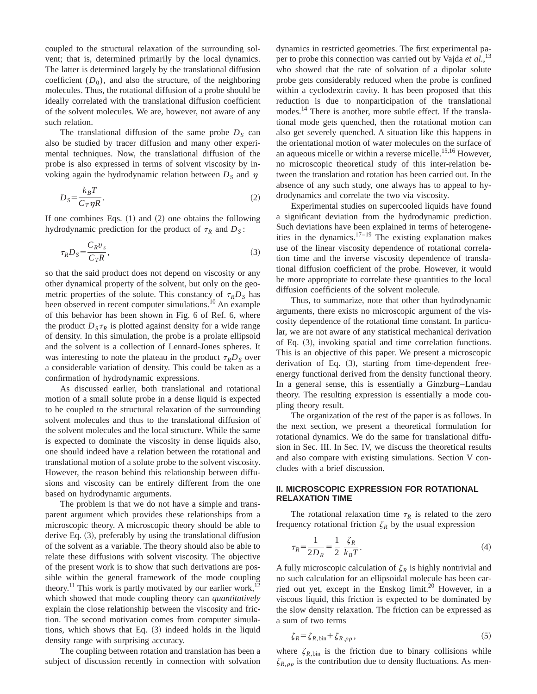coupled to the structural relaxation of the surrounding solvent; that is, determined primarily by the local dynamics. The latter is determined largely by the translational diffusion coefficient  $(D_0)$ , and also the structure, of the neighboring molecules. Thus, the rotational diffusion of a probe should be ideally correlated with the translational diffusion coefficient of the solvent molecules. We are, however, not aware of any such relation.

The translational diffusion of the same probe  $D<sub>S</sub>$  can also be studied by tracer diffusion and many other experimental techniques. Now, the translational diffusion of the probe is also expressed in terms of solvent viscosity by invoking again the hydrodynamic relation between  $D<sub>S</sub>$  and  $\eta$ 

$$
D_S = \frac{k_B T}{C_T \eta R}.\tag{2}
$$

If one combines Eqs.  $(1)$  and  $(2)$  one obtains the following hydrodynamic prediction for the product of  $\tau_R$  and  $D_S$ :

$$
\tau_R D_S = \frac{C_R v_s}{C_T R},\tag{3}
$$

so that the said product does not depend on viscosity or any other dynamical property of the solvent, but only on the geometric properties of the solute. This constancy of  $\tau_R D_S$  has been observed in recent computer simulations.<sup>10</sup> An example of this behavior has been shown in Fig. 6 of Ref. 6, where the product  $D_{S} \tau_{R}$  is plotted against density for a wide range of density. In this simulation, the probe is a prolate ellipsoid and the solvent is a collection of Lennard-Jones spheres. It was interesting to note the plateau in the product  $\tau_R D_S$  over a considerable variation of density. This could be taken as a confirmation of hydrodynamic expressions.

As discussed earlier, both translational and rotational motion of a small solute probe in a dense liquid is expected to be coupled to the structural relaxation of the surrounding solvent molecules and thus to the translational diffusion of the solvent molecules and the local structure. While the same is expected to dominate the viscosity in dense liquids also, one should indeed have a relation between the rotational and translational motion of a solute probe to the solvent viscosity. However, the reason behind this relationship between diffusions and viscosity can be entirely different from the one based on hydrodynamic arguments.

The problem is that we do not have a simple and transparent argument which provides these relationships from a microscopic theory. A microscopic theory should be able to derive Eq.  $(3)$ , preferably by using the translational diffusion of the solvent as a variable. The theory should also be able to relate these diffusions with solvent viscosity. The objective of the present work is to show that such derivations are possible within the general framework of the mode coupling theory.<sup>11</sup> This work is partly motivated by our earlier work,<sup>12</sup> which showed that mode coupling theory can *quantitatively* explain the close relationship between the viscosity and friction. The second motivation comes from computer simulations, which shows that Eq.  $(3)$  indeed holds in the liquid density range with surprising accuracy.

The coupling between rotation and translation has been a subject of discussion recently in connection with solvation dynamics in restricted geometries. The first experimental paper to probe this connection was carried out by Vajda et al.,<sup>13</sup> who showed that the rate of solvation of a dipolar solute probe gets considerably reduced when the probe is confined within a cyclodextrin cavity. It has been proposed that this reduction is due to nonparticipation of the translational modes.<sup>14</sup> There is another, more subtle effect. If the translational mode gets quenched, then the rotational motion can also get severely quenched. A situation like this happens in the orientational motion of water molecules on the surface of an aqueous micelle or within a reverse micelle.<sup>15,16</sup> However, no microscopic theoretical study of this inter-relation between the translation and rotation has been carried out. In the absence of any such study, one always has to appeal to hydrodynamics and correlate the two via viscosity.

Experimental studies on supercooled liquids have found a significant deviation from the hydrodynamic prediction. Such deviations have been explained in terms of heterogeneities in the dynamics.<sup>17–19</sup> The existing explanation makes use of the linear viscosity dependence of rotational correlation time and the inverse viscosity dependence of translational diffusion coefficient of the probe. However, it would be more appropriate to correlate these quantities to the local diffusion coefficients of the solvent molecule.

Thus, to summarize, note that other than hydrodynamic arguments, there exists no microscopic argument of the viscosity dependence of the rotational time constant. In particular, we are not aware of any statistical mechanical derivation of Eq.  $(3)$ , invoking spatial and time correlation functions. This is an objective of this paper. We present a microscopic derivation of Eq.  $(3)$ , starting from time-dependent freeenergy functional derived from the density functional theory. In a general sense, this is essentially a Ginzburg–Landau theory. The resulting expression is essentially a mode coupling theory result.

The organization of the rest of the paper is as follows. In the next section, we present a theoretical formulation for rotational dynamics. We do the same for translational diffusion in Sec. III. In Sec. IV, we discuss the theoretical results and also compare with existing simulations. Section V concludes with a brief discussion.

## **II. MICROSCOPIC EXPRESSION FOR ROTATIONAL RELAXATION TIME**

The rotational relaxation time  $\tau_R$  is related to the zero frequency rotational friction  $\zeta_R$  by the usual expression

$$
\tau_R = \frac{1}{2D_R} = \frac{1}{2} \frac{\zeta_R}{k_B T}.
$$
\n(4)

A fully microscopic calculation of  $\zeta_R$  is highly nontrivial and no such calculation for an ellipsoidal molecule has been carried out yet, except in the Enskog limit.<sup>20</sup> However, in a viscous liquid, this friction is expected to be dominated by the slow density relaxation. The friction can be expressed as a sum of two terms

$$
\zeta_R = \zeta_{R, \text{bin}} + \zeta_{R, \rho\rho},\tag{5}
$$

where  $\zeta_{R,\text{bin}}$  is the friction due to binary collisions while  $\zeta_{R,\rho\rho}$  is the contribution due to density fluctuations. As men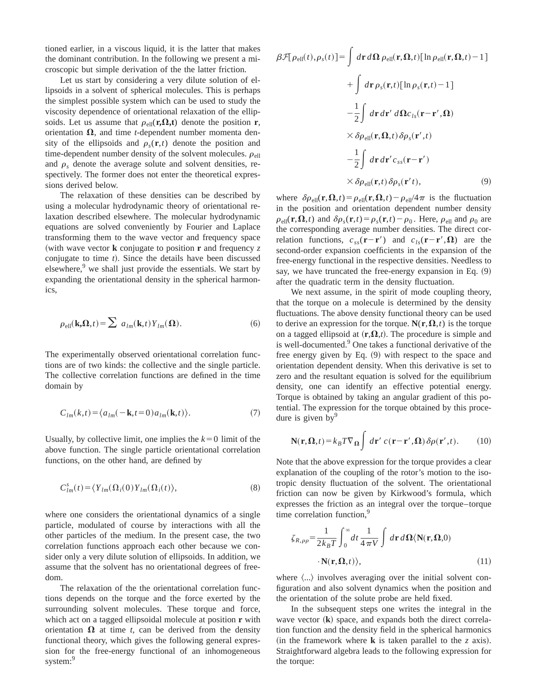tioned earlier, in a viscous liquid, it is the latter that makes the dominant contribution. In the following we present a microscopic but simple derivation of the the latter friction.

Let us start by considering a very dilute solution of ellipsoids in a solvent of spherical molecules. This is perhaps the simplest possible system which can be used to study the viscosity dependence of orientational relaxation of the ellipsoids. Let us assume that  $\rho_{\text{ell}}(\mathbf{r},\Omega,t)$  denote the position **r**, orientation  $\Omega$ , and time *t*-dependent number momenta density of the ellipsoids and  $\rho_s(\mathbf{r},t)$  denote the position and time-dependent number density of the solvent molecules.  $\rho_{\text{ell}}$ and  $\rho_s$  denote the average solute and solvent densities, respectively. The former does not enter the theoretical expressions derived below.

The relaxation of these densities can be described by using a molecular hydrodynamic theory of orientational relaxation described elsewhere. The molecular hydrodynamic equations are solved conveniently by Fourier and Laplace transforming them to the wave vector and frequency space (with wave vector **k** conjugate to position **r** and frequency  $z$ conjugate to time *t*). Since the details have been discussed elsewhere,<sup>9</sup> we shall just provide the essentials. We start by expanding the orientational density in the spherical harmonics,

$$
\rho_{\text{ell}}(\mathbf{k}, \mathbf{\Omega}, t) = \sum a_{lm}(\mathbf{k}, t) Y_{lm}(\mathbf{\Omega}).
$$
\n(6)

The experimentally observed orientational correlation functions are of two kinds: the collective and the single particle. The collective correlation functions are defined in the time domain by

$$
C_{lm}(k,t) = \langle a_{lm}(-\mathbf{k}, t=0) a_{lm}(\mathbf{k}, t) \rangle.
$$
 (7)

Usually, by collective limit, one implies the  $k=0$  limit of the above function. The single particle orientational correlation functions, on the other hand, are defined by

$$
C_{lm}^s(t) = \langle Y_{lm}(\Omega_i(0)Y_{lm}(\Omega_i(t)), \tag{8}
$$

where one considers the orientational dynamics of a single particle, modulated of course by interactions with all the other particles of the medium. In the present case, the two correlation functions approach each other because we consider only a very dilute solution of ellipsoids. In addition, we assume that the solvent has no orientational degrees of freedom.

The relaxation of the the orientational correlation functions depends on the torque and the force exerted by the surrounding solvent molecules. These torque and force, which act on a tagged ellipsoidal molecule at position **r** with orientation  $\Omega$  at time *t*, can be derived from the density functional theory, which gives the following general expression for the free-energy functional of an inhomogeneous system:<sup>9</sup>

$$
\beta \mathcal{F}[\rho_{ell}(t), \rho_{s}(t)] = \int d\mathbf{r} \, d\mathbf{\Omega} \, \rho_{ell}(\mathbf{r}, \mathbf{\Omega}, t) [\ln \rho_{ell}(\mathbf{r}, \mathbf{\Omega}, t) - 1] \n+ \int d\mathbf{r} \, \rho_{s}(\mathbf{r}, t) [\ln \rho_{s}(\mathbf{r}, t) - 1] \n- \frac{1}{2} \int d\mathbf{r} \, d\mathbf{r}' \, d\mathbf{\Omega} c_{ls}(\mathbf{r} - \mathbf{r}', \mathbf{\Omega}) \n\times \delta \rho_{ell}(\mathbf{r}, \mathbf{\Omega}, t) \delta \rho_{s}(\mathbf{r}', t) \n- \frac{1}{2} \int d\mathbf{r} \, d\mathbf{r}' c_{ss}(\mathbf{r} - \mathbf{r}') \n\times \delta \rho_{ell}(\mathbf{r}, t) \delta \rho_{s}(\mathbf{r}', t),
$$
\n(9)

where  $\delta \rho_{\text{ell}}(\mathbf{r},\mathbf{\Omega},t) = \rho_{\text{ell}}(\mathbf{r},\mathbf{\Omega},t) - \rho_{\text{ell}}/4\pi$  is the fluctuation in the position and orientation dependent number density  $\rho_{\text{ell}}(\mathbf{r},\mathbf{\Omega},t)$  and  $\delta\rho_{s}(\mathbf{r},t)=\rho_{s}(\mathbf{r},t)-\rho_{0}$ . Here,  $\rho_{\text{ell}}$  and  $\rho_{0}$  are the corresponding average number densities. The direct correlation functions,  $c_{ss}(\mathbf{r}-\mathbf{r}')$  and  $c_{ls}(\mathbf{r}-\mathbf{r}',\Omega)$  are the second-order expansion coefficients in the expansion of the free-energy functional in the respective densities. Needless to say, we have truncated the free-energy expansion in Eq.  $(9)$ after the quadratic term in the density fluctuation.

We next assume, in the spirit of mode coupling theory, that the torque on a molecule is determined by the density fluctuations. The above density functional theory can be used to derive an expression for the torque.  $N(\mathbf{r}, \Omega, t)$  is the torque on a tagged ellipsoid at  $(r,\Omega,t)$ . The procedure is simple and is well-documented.<sup>9</sup> One takes a functional derivative of the free energy given by Eq.  $(9)$  with respect to the space and orientation dependent density. When this derivative is set to zero and the resultant equation is solved for the equilibrium density, one can identify an effective potential energy. Torque is obtained by taking an angular gradient of this potential. The expression for the torque obtained by this procedure is given by  $9$ 

$$
\mathbf{N}(\mathbf{r}, \mathbf{\Omega}, t) = k_B T \nabla_{\mathbf{\Omega}} \int d\mathbf{r}' \ c(\mathbf{r} - \mathbf{r}', \mathbf{\Omega}) \delta \rho(\mathbf{r}', t). \tag{10}
$$

Note that the above expression for the torque provides a clear explanation of the coupling of the rotor's motion to the isotropic density fluctuation of the solvent. The orientational friction can now be given by Kirkwood's formula, which expresses the friction as an integral over the torque–torque time correlation function,<sup>9</sup>

$$
\zeta_{R,\rho\rho} = \frac{1}{2k_B T} \int_0^\infty dt \, \frac{1}{4 \pi V} \int d\mathbf{r} \, d\Omega \langle \mathbf{N}(\mathbf{r}, \Omega, 0) - \mathbf{N}(\mathbf{r}, \Omega, t) \rangle, \tag{11}
$$

where  $\langle \ldots \rangle$  involves averaging over the initial solvent configuration and also solvent dynamics when the position and the orientation of the solute probe are held fixed.

In the subsequent steps one writes the integral in the wave vector  $(\mathbf{k})$  space, and expands both the direct correlation function and the density field in the spherical harmonics (in the framework where **k** is taken parallel to the *z* axis). Straightforward algebra leads to the following expression for the torque: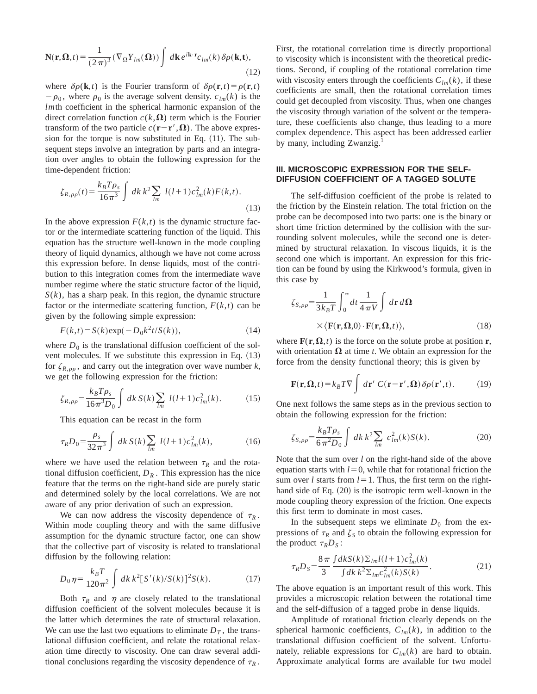$$
\mathbf{N}(\mathbf{r}, \mathbf{\Omega}, t) = \frac{1}{(2\pi)^3} (\nabla_{\Omega} Y_{lm}(\mathbf{\Omega})) \int d\mathbf{k} \, e^{i\mathbf{k} \cdot \mathbf{r}} c_{lm}(k) \, \delta \rho(\mathbf{k}, t), \tag{12}
$$

where  $\delta \rho(\mathbf{k}, t)$  is the Fourier transform of  $\delta \rho(\mathbf{r}, t) = \rho(\mathbf{r}, t)$  $-\rho_0$ , where  $\rho_0$  is the average solvent density.  $c_{lm}(k)$  is the *lm*th coefficient in the spherical harmonic expansion of the direct correlation function  $c(k,\Omega)$  term which is the Fourier transform of the two particle  $c(\mathbf{r}-\mathbf{r}', \mathbf{\Omega})$ . The above expression for the torque is now substituted in Eq.  $(11)$ . The subsequent steps involve an integration by parts and an integration over angles to obtain the following expression for the time-dependent friction:

$$
\zeta_{R,\rho\rho}(t) = \frac{k_B T \rho_s}{16\pi^3} \int dk \, k^2 \sum_{lm} l(l+1) c_{lm}^2(k) F(k,t).
$$
\n(13)

In the above expression  $F(k,t)$  is the dynamic structure factor or the intermediate scattering function of the liquid. This equation has the structure well-known in the mode coupling theory of liquid dynamics, although we have not come across this expression before. In dense liquids, most of the contribution to this integration comes from the intermediate wave number regime where the static structure factor of the liquid,  $S(k)$ , has a sharp peak. In this region, the dynamic structure factor or the intermediate scattering function,  $F(k,t)$  can be given by the following simple expression:

$$
F(k,t) = S(k) \exp(-D_0 k^2 t / S(k)),
$$
\n(14)

where  $D_0$  is the translational diffusion coefficient of the solvent molecules. If we substitute this expression in Eq.  $(13)$ for  $\zeta_{R,\rho\rho}$ , and carry out the integration over wave number *k*, we get the following expression for the friction:

$$
\zeta_{R,\rho\rho} = \frac{k_B T \rho_s}{16\pi^3 D_0} \int dk \, S(k) \sum_{lm} l(l+1) c_{lm}^2(k). \tag{15}
$$

This equation can be recast in the form

$$
\tau_R D_0 = \frac{\rho_s}{32\pi^3} \int dk \, S(k) \sum_{lm} l(l+1) c_{lm}^2(k), \tag{16}
$$

where we have used the relation between  $\tau_R$  and the rotational diffusion coefficient,  $D_R$ . This expression has the nice feature that the terms on the right-hand side are purely static and determined solely by the local correlations. We are not aware of any prior derivation of such an expression.

We can now address the viscosity dependence of  $\tau_R$ . Within mode coupling theory and with the same diffusive assumption for the dynamic structure factor, one can show that the collective part of viscosity is related to translational diffusion by the following relation:

$$
D_0 \eta = \frac{k_B T}{120 \pi^2} \int dk \, k^2 [S'(k)/S(k)]^2 S(k). \tag{17}
$$

Both  $\tau_R$  and  $\eta$  are closely related to the translational diffusion coefficient of the solvent molecules because it is the latter which determines the rate of structural relaxation. We can use the last two equations to eliminate  $D<sub>T</sub>$ , the translational diffusion coefficient, and relate the rotational relaxation time directly to viscosity. One can draw several additional conclusions regarding the viscosity dependence of  $\tau_R$ .

First, the rotational correlation time is directly proportional to viscosity which is inconsistent with the theoretical predictions. Second, if coupling of the rotational correlation time with viscosity enters through the coefficients  $C_{lm}(k)$ , if these coefficients are small, then the rotational correlation times could get decoupled from viscosity. Thus, when one changes the viscosity through variation of the solvent or the temperature, these coefficients also change, thus leading to a more complex dependence. This aspect has been addressed earlier by many, including Zwanzig.

#### **III. MICROSCOPIC EXPRESSION FOR THE SELF-DIFFUSION COEFFICIENT OF A TAGGED SOLUTE**

The self-diffusion coefficient of the probe is related to the friction by the Einstein relation. The total friction on the probe can be decomposed into two parts: one is the binary or short time friction determined by the collision with the surrounding solvent molecules, while the second one is determined by structural relaxation. In viscous liquids, it is the second one which is important. An expression for this friction can be found by using the Kirkwood's formula, given in this case by

$$
\zeta_{S,\rho\rho} = \frac{1}{3k_B T} \int_0^\infty dt \, \frac{1}{4 \pi V} \int d\mathbf{r} \, d\mathbf{\Omega}
$$

$$
\times \langle \mathbf{F}(\mathbf{r}, \mathbf{\Omega}, 0) \cdot \mathbf{F}(\mathbf{r}, \mathbf{\Omega}, t) \rangle, \tag{18}
$$

where  $\mathbf{F}(\mathbf{r},\mathbf{\Omega},t)$  is the force on the solute probe at position **r**, with orientation  $\Omega$  at time *t*. We obtain an expression for the force from the density functional theory; this is given by

$$
\mathbf{F}(\mathbf{r}, \mathbf{\Omega}, t) = k_B T \nabla \int d\mathbf{r}' C(\mathbf{r} - \mathbf{r}', \mathbf{\Omega}) \delta \rho(\mathbf{r}', t). \tag{19}
$$

One next follows the same steps as in the previous section to obtain the following expression for the friction:

$$
\zeta_{S,\rho\rho} = \frac{k_B T \rho_s}{6 \pi^2 D_0} \int dk \, k^2 \sum_{lm} \, c_{lm}^2(k) S(k). \tag{20}
$$

Note that the sum over *l* on the right-hand side of the above equation starts with  $l=0$ , while that for rotational friction the sum over *l* starts from  $l=1$ . Thus, the first term on the righthand side of Eq.  $(20)$  is the isotropic term well-known in the mode coupling theory expression of the friction. One expects this first term to dominate in most cases.

In the subsequent steps we eliminate  $D_0$  from the expressions of  $\tau_R$  and  $\zeta_S$  to obtain the following expression for the product  $\tau_R D_S$ :

$$
\tau_R D_S = \frac{8\pi}{3} \frac{\int dk S(k) \Sigma_{lm} l(l+1) c_{lm}^2(k)}{\int dk \, k^2 \Sigma_{lm} c_{lm}^2(k) S(k)}.
$$
 (21)

The above equation is an important result of this work. This provides a microscopic relation between the rotational time and the self-diffusion of a tagged probe in dense liquids.

Amplitude of rotational friction clearly depends on the spherical harmonic coefficients,  $C_{lm}(k)$ , in addition to the translational diffusion coefficient of the solvent. Unfortunately, reliable expressions for  $C_{lm}(k)$  are hard to obtain. Approximate analytical forms are available for two model